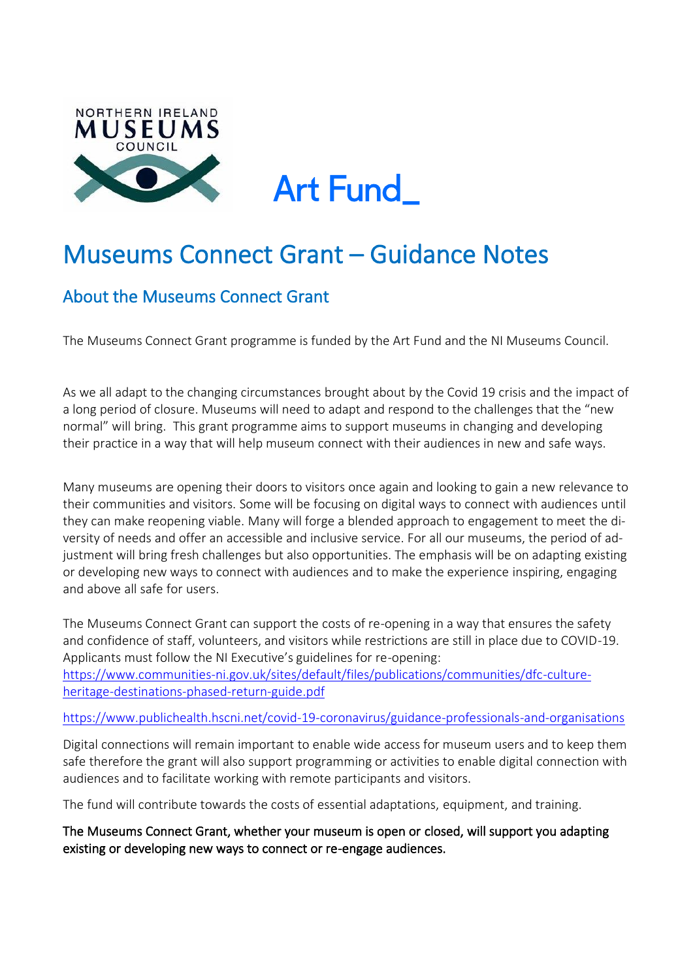

**Art Fund** 

# Museums Connect Grant – Guidance Notes

# About the Museums Connect Grant

The Museums Connect Grant programme is funded by the Art Fund and the NI Museums Council.

As we all adapt to the changing circumstances brought about by the Covid 19 crisis and the impact of a long period of closure. Museums will need to adapt and respond to the challenges that the "new normal" will bring. This grant programme aims to support museums in changing and developing their practice in a way that will help museum connect with their audiences in new and safe ways.

Many museums are opening their doors to visitors once again and looking to gain a new relevance to their communities and visitors. Some will be focusing on digital ways to connect with audiences until they can make reopening viable. Many will forge a blended approach to engagement to meet the diversity of needs and offer an accessible and inclusive service. For all our museums, the period of adjustment will bring fresh challenges but also opportunities. The emphasis will be on adapting existing or developing new ways to connect with audiences and to make the experience inspiring, engaging and above all safe for users.

The Museums Connect Grant can support the costs of re-opening in a way that ensures the safety and confidence of staff, volunteers, and visitors while restrictions are still in place due to COVID-19. Applicants must follow the NI Executive's guidelines for re-opening: [https://www.communities-ni.gov.uk/sites/default/files/publications/communities/dfc-culture](https://www.communities-ni.gov.uk/sites/default/files/publications/communities/dfc-culture-heritage-destinations-phased-return-guide.pdf)[heritage-destinations-phased-return-guide.pdf](https://www.communities-ni.gov.uk/sites/default/files/publications/communities/dfc-culture-heritage-destinations-phased-return-guide.pdf)

#### <https://www.publichealth.hscni.net/covid-19-coronavirus/guidance-professionals-and-organisations>

Digital connections will remain important to enable wide access for museum users and to keep them safe therefore the grant will also support programming or activities to enable digital connection with audiences and to facilitate working with remote participants and visitors.

The fund will contribute towards the costs of essential adaptations, equipment, and training.

The Museums Connect Grant, whether your museum is open or closed, will support you adapting existing or developing new ways to connect or re-engage audiences.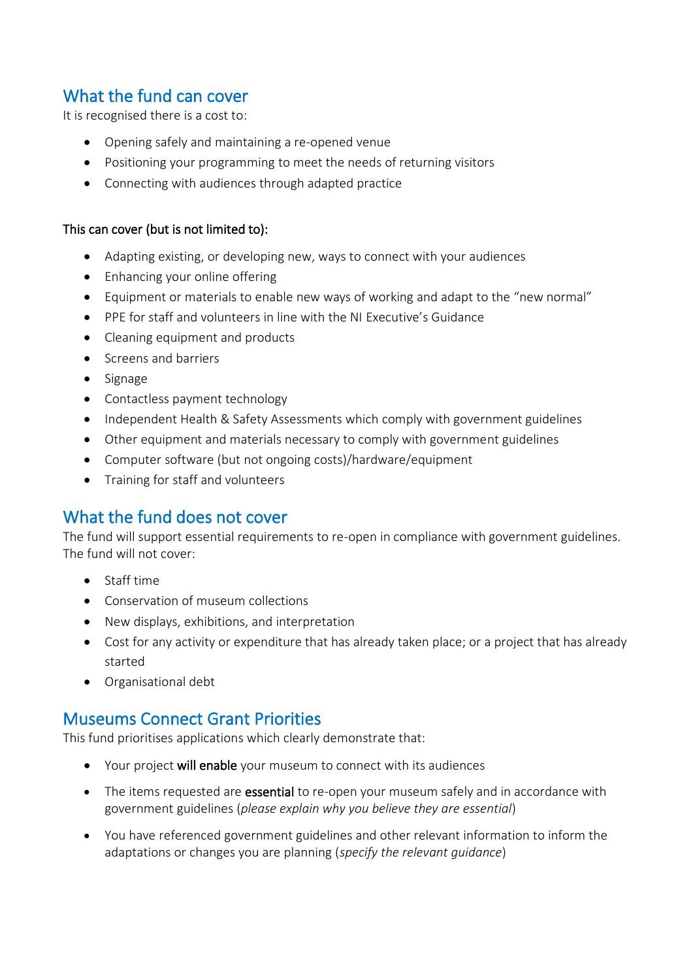# What the fund can cover

It is recognised there is a cost to:

- Opening safely and maintaining a re-opened venue
- Positioning your programming to meet the needs of returning visitors
- Connecting with audiences through adapted practice

#### This can cover (but is not limited to):

- Adapting existing, or developing new, ways to connect with your audiences
- Enhancing your online offering
- Equipment or materials to enable new ways of working and adapt to the "new normal"
- PPE for staff and volunteers in line with the NI Executive's Guidance
- Cleaning equipment and products
- Screens and barriers
- Signage
- Contactless payment technology
- Independent Health & Safety Assessments which comply with government guidelines
- Other equipment and materials necessary to comply with government guidelines
- Computer software (but not ongoing costs)/hardware/equipment
- Training for staff and volunteers

# What the fund does not cover

The fund will support essential requirements to re-open in compliance with government guidelines. The fund will not cover:

- Staff time
- Conservation of museum collections
- New displays, exhibitions, and interpretation
- Cost for any activity or expenditure that has already taken place; or a project that has already started
- Organisational debt

# Museums Connect Grant Priorities

This fund prioritises applications which clearly demonstrate that:

- Your project will enable your museum to connect with its audiences
- The items requested are **essential** to re-open your museum safely and in accordance with government guidelines (*please explain why you believe they are essential*)
- You have referenced government guidelines and other relevant information to inform the adaptations or changes you are planning (*specify the relevant guidance*)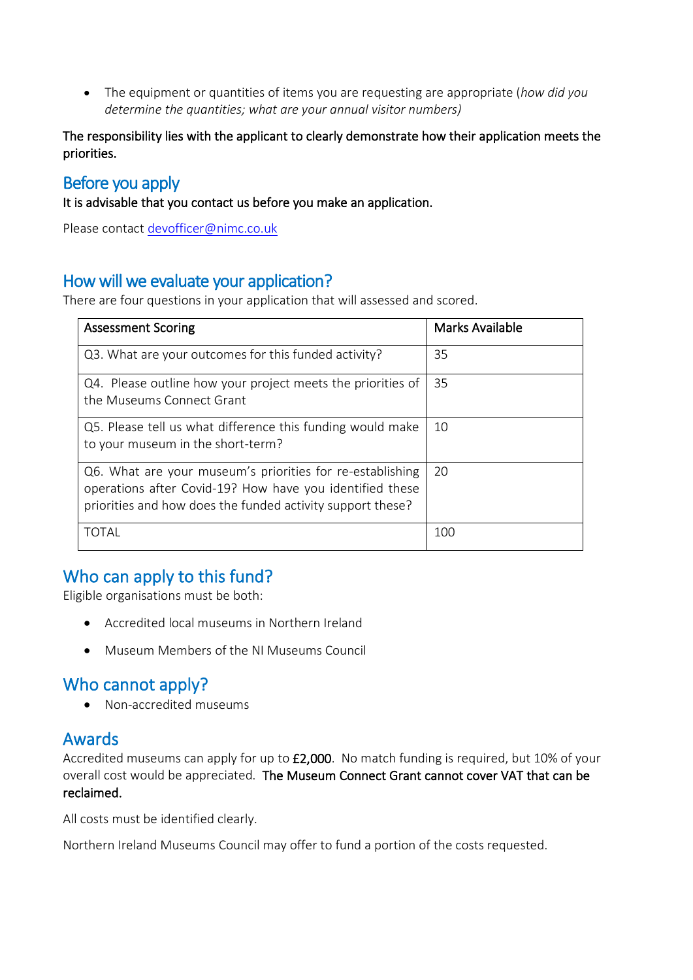• The equipment or quantities of items you are requesting are appropriate (*how did you determine the quantities; what are your annual visitor numbers)*

The responsibility lies with the applicant to clearly demonstrate how their application meets the priorities.

### Before you apply

It is advisable that you contact us before you make an application.

Please contact [devofficer@nimc.co.uk](mailto:devofficer@nimc.co.uk)

# How will we evaluate your application?

There are four questions in your application that will assessed and scored.

| <b>Assessment Scoring</b>                                                                                                                                                           | <b>Marks Available</b> |
|-------------------------------------------------------------------------------------------------------------------------------------------------------------------------------------|------------------------|
| Q3. What are your outcomes for this funded activity?                                                                                                                                | 35                     |
| Q4. Please outline how your project meets the priorities of<br>the Museums Connect Grant                                                                                            | 35                     |
| Q5. Please tell us what difference this funding would make<br>to your museum in the short-term?                                                                                     | 10                     |
| Q6. What are your museum's priorities for re-establishing<br>operations after Covid-19? How have you identified these<br>priorities and how does the funded activity support these? | 20                     |
| TOTAI                                                                                                                                                                               | 100                    |

# Who can apply to this fund?

Eligible organisations must be both:

- Accredited local museums in Northern Ireland
- Museum Members of the NI Museums Council

# Who cannot apply?

• Non-accredited museums

### Awards

Accredited museums can apply for up to £2,000. No match funding is required, but 10% of your overall cost would be appreciated. The Museum Connect Grant cannot cover VAT that can be reclaimed.

All costs must be identified clearly.

Northern Ireland Museums Council may offer to fund a portion of the costs requested.